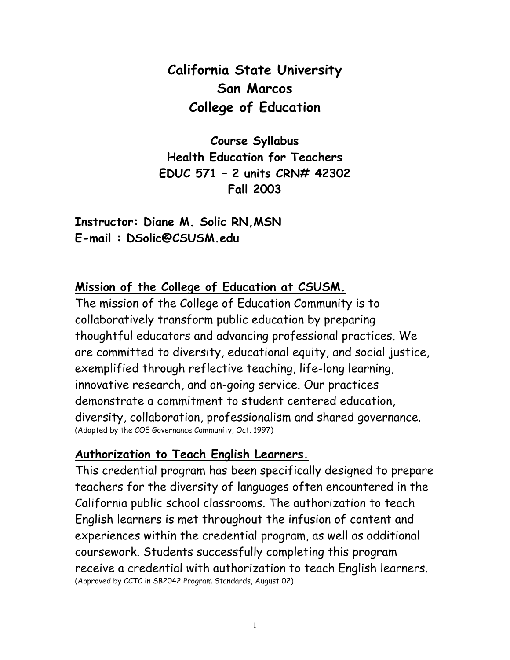# **California State University San Marcos College of Education**

**Course Syllabus Health Education for Teachers EDUC 571 – 2 units CRN# 42302 Fall 2003** 

**Instructor: Diane M. Solic RN,MSN E-mail : DSolic@CSUSM.edu** 

#### **Mission of the College of Education at CSUSM.**

The mission of the College of Education Community is to collaboratively transform public education by preparing thoughtful educators and advancing professional practices. We are committed to diversity, educational equity, and social justice, exemplified through reflective teaching, life-long learning, innovative research, and on-going service. Our practices demonstrate a commitment to student centered education, diversity, collaboration, professionalism and shared governance. (Adopted by the COE Governance Community, Oct. 1997)

#### **Authorization to Teach English Learners.**

This credential program has been specifically designed to prepare teachers for the diversity of languages often encountered in the California public school classrooms. The authorization to teach English learners is met throughout the infusion of content and experiences within the credential program, as well as additional coursework. Students successfully completing this program receive a credential with authorization to teach English learners. (Approved by CCTC in SB2042 Program Standards, August 02)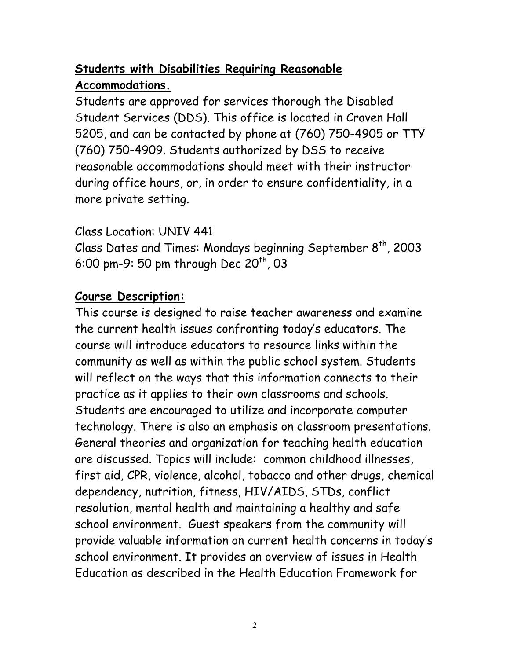# **Students with Disabilities Requiring Reasonable Accommodations.**

Students are approved for services thorough the Disabled Student Services (DDS). This office is located in Craven Hall 5205, and can be contacted by phone at (760) 750-4905 or TTY (760) 750-4909. Students authorized by DSS to receive reasonable accommodations should meet with their instructor during office hours, or, in order to ensure confidentiality, in a more private setting.

### Class Location: UNIV 441

Class Dates and Times: Mondays beginning September  $8<sup>th</sup>$ , 2003 6:00 pm-9: 50 pm through Dec  $20^{th}$ , 03

### **Course Description:**

This course is designed to raise teacher awareness and examine the current health issues confronting today's educators. The course will introduce educators to resource links within the community as well as within the public school system. Students will reflect on the ways that this information connects to their practice as it applies to their own classrooms and schools. Students are encouraged to utilize and incorporate computer technology. There is also an emphasis on classroom presentations. General theories and organization for teaching health education are discussed. Topics will include: common childhood illnesses, first aid, CPR, violence, alcohol, tobacco and other drugs, chemical dependency, nutrition, fitness, HIV/AIDS, STDs, conflict resolution, mental health and maintaining a healthy and safe school environment. Guest speakers from the community will provide valuable information on current health concerns in today's school environment. It provides an overview of issues in Health Education as described in the Health Education Framework for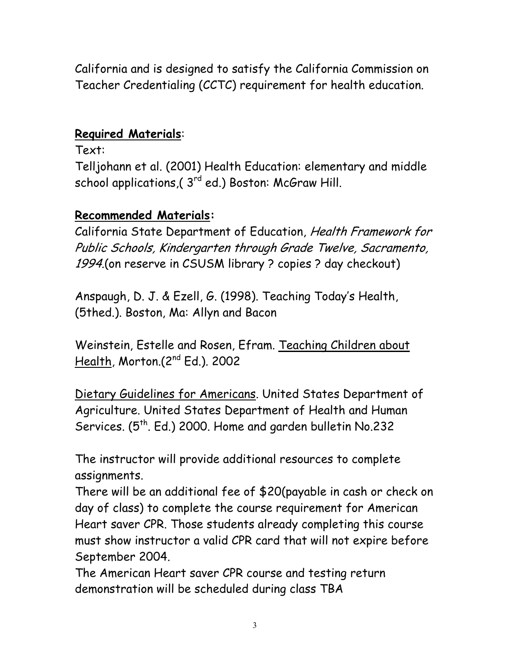California and is designed to satisfy the California Commission on Teacher Credentialing (CCTC) requirement for health education.

### **Required Materials**:

Text:

Telljohann et al. (2001) Health Education: elementary and middle school applications, (3<sup>rd</sup> ed.) Boston: McGraw Hill.

# **Recommended Materials:**

California State Department of Education, Health Framework for Public Schools, Kindergarten through Grade Twelve, Sacramento, 1994.(on reserve in CSUSM library ? copies ? day checkout)

Anspaugh, D. J. & Ezell, G. (1998). Teaching Today's Health, (5thed.). Boston, Ma: Allyn and Bacon

Weinstein, Estelle and Rosen, Efram. Teaching Children about Health, Morton.(2<sup>nd</sup> Ed.). 2002

Dietary Guidelines for Americans. United States Department of Agriculture. United States Department of Health and Human Services. (5<sup>th</sup>. Ed.) 2000. Home and garden bulletin No.232

The instructor will provide additional resources to complete assignments.

There will be an additional fee of \$20(payable in cash or check on day of class) to complete the course requirement for American Heart saver CPR. Those students already completing this course must show instructor a valid CPR card that will not expire before September 2004.

The American Heart saver CPR course and testing return demonstration will be scheduled during class TBA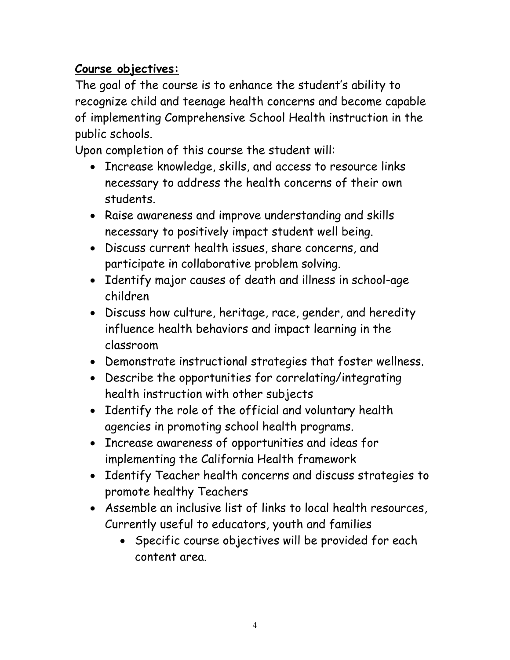# **Course objectives:**

The goal of the course is to enhance the student's ability to recognize child and teenage health concerns and become capable of implementing Comprehensive School Health instruction in the public schools.

Upon completion of this course the student will:

- Increase knowledge, skills, and access to resource links necessary to address the health concerns of their own students.
- Raise awareness and improve understanding and skills necessary to positively impact student well being.
- Discuss current health issues, share concerns, and participate in collaborative problem solving.
- Identify major causes of death and illness in school-age children
- Discuss how culture, heritage, race, gender, and heredity influence health behaviors and impact learning in the classroom
- Demonstrate instructional strategies that foster wellness.
- Describe the opportunities for correlating/integrating health instruction with other subjects
- Identify the role of the official and voluntary health agencies in promoting school health programs.
- Increase awareness of opportunities and ideas for implementing the California Health framework
- Identify Teacher health concerns and discuss strategies to promote healthy Teachers
- Assemble an inclusive list of links to local health resources, Currently useful to educators, youth and families
	- Specific course objectives will be provided for each content area.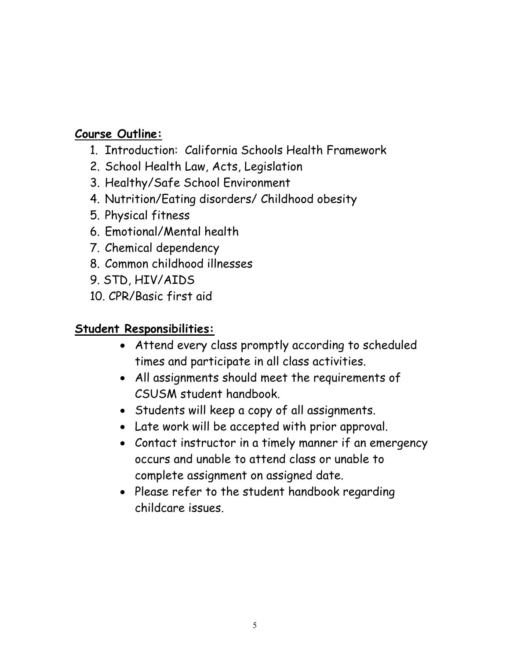### **Course Outline:**

- 1. Introduction: California Schools Health Framework
- 2. School Health Law, Acts, Legislation
- 3. Healthy/Safe School Environment
- 4. Nutrition/Eating disorders/ Childhood obesity
- 5. Physical fitness
- 6. Emotional/Mental health
- 7. Chemical dependency
- 8. Common childhood illnesses
- 9. STD, HIV/AIDS
- 10. CPR/Basic first aid

# **Student Responsibilities:**

- Attend every class promptly according to scheduled times and participate in all class activities.
- All assignments should meet the requirements of CSUSM student handbook.
- Students will keep a copy of all assignments.
- Late work will be accepted with prior approval.
- Contact instructor in a timely manner if an emergency occurs and unable to attend class or unable to complete assignment on assigned date.
- Please refer to the student handbook regarding childcare issues.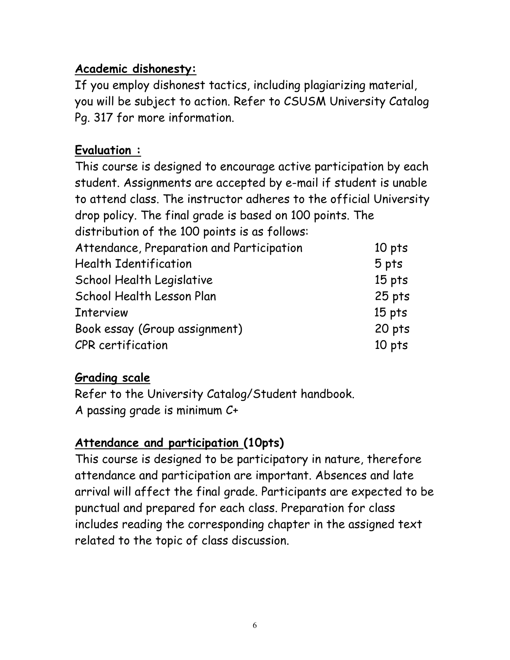### **Academic dishonesty:**

If you employ dishonest tactics, including plagiarizing material, you will be subject to action. Refer to CSUSM University Catalog Pg. 317 for more information.

### **Evaluation :**

This course is designed to encourage active participation by each student. Assignments are accepted by e-mail if student is unable to attend class. The instructor adheres to the official University drop policy. The final grade is based on 100 points. The distribution of the 100 points is as follows:

| 10 pts   |
|----------|
| 5 pts    |
| $15$ pts |
| 25 pts   |
| $15$ pts |
| 20 pts   |
| 10 pts   |
|          |

#### **Grading scale**

Refer to the University Catalog/Student handbook. A passing grade is minimum C+

### **Attendance and participation (10pts)**

This course is designed to be participatory in nature, therefore attendance and participation are important. Absences and late arrival will affect the final grade. Participants are expected to be punctual and prepared for each class. Preparation for class includes reading the corresponding chapter in the assigned text related to the topic of class discussion.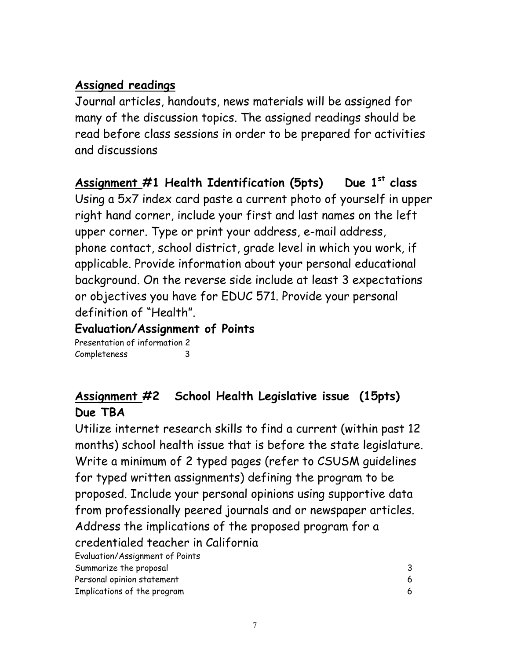#### **Assigned readings**

Journal articles, handouts, news materials will be assigned for many of the discussion topics. The assigned readings should be read before class sessions in order to be prepared for activities and discussions

#### **Assignment #1 Health Identification(5pts) Due 1st class**

Using a 5x7 index card paste a current photo of yourself in upper right hand corner, include your first and last names on the left upper corner. Type or print your address, e-mail address, phone contact, school district, grade level in which you work, if applicable. Provide information about your personal educational background. On the reverse side include at least 3 expectations or objectives you have for EDUC 571. Provide your personal definition of "Health".

#### **Evaluation/Assignment of Points**

Presentation of information 2 Completeness 3

### **Assignment #2 School Health Legislative issue (15pts) Due TBA**

Utilize internet research skills to find a current (within past 12 months) school health issue that is before the state legislature. Write a minimum of 2 typed pages (refer to CSUSM guidelines for typed written assignments) defining the program to be proposed. Include your personal opinions using supportive data from professionally peered journals and or newspaper articles. Address the implications of the proposed program for a credentialed teacher in California Evaluation/Assignment of Points

| Summarize the proposal      |  |
|-----------------------------|--|
| Personal opinion statement  |  |
| Implications of the program |  |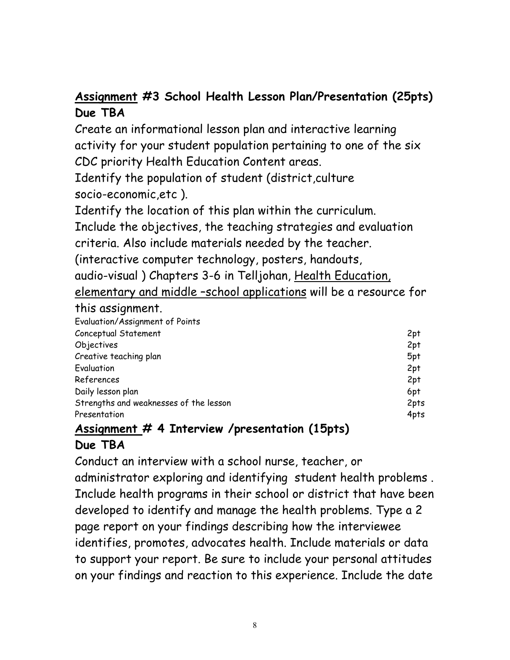# **Assignment #3 School Health Lesson Plan/Presentation (25pts) Due TBA**

Create an informational lesson plan and interactive learning activity for your student population pertaining to one of the six CDC priority Health Education Content areas.

Identify the population of student (district,culture socio-economic,etc ).

Identify the location of this plan within the curriculum.

Include the objectives, the teaching strategies and evaluation criteria. Also include materials needed by the teacher.

(interactive computer technology, posters, handouts,

audio-visual ) Chapters 3-6 in Telljohan, Health Education,

elementary and middle –school applications will be a resource for

#### this assignment.

| Evaluation/Assignment of Points        |      |
|----------------------------------------|------|
| Conceptual Statement                   | 2pt  |
| Objectives                             | 2pt  |
| Creative teaching plan                 | 5pt  |
| Evaluation                             | 2pt  |
| References                             | 2pt  |
| Daily lesson plan                      | 6pt  |
| Strengths and weaknesses of the lesson | 2pts |
| Presentation                           | 4pts |

#### **Assignment # 4 Interview /presentation (15pts) Due TBA**

Conduct an interview with a school nurse, teacher, or

administrator exploring and identifying student health problems . Include health programs in their school or district that have been developed to identify and manage the health problems. Type a 2 page report on your findings describing how the interviewee identifies, promotes, advocates health. Include materials or data to support your report. Be sure to include your personal attitudes on your findings and reaction to this experience. Include the date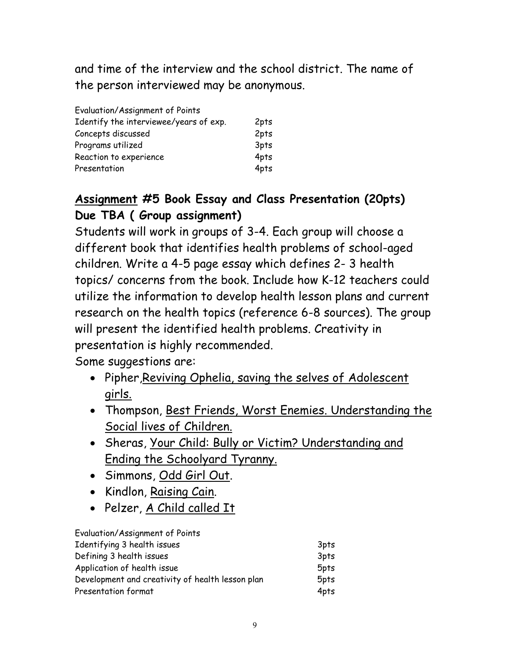and time of the interview and the school district. The name of the person interviewed may be anonymous.

| Evaluation/Assignment of Points        |      |
|----------------------------------------|------|
| Identify the interviewee/years of exp. | 2pts |
| Concepts discussed                     | 2pts |
| Programs utilized                      | 3pts |
| Reaction to experience                 | 4pts |
| Presentation                           | 4pts |

# **Assignment #5 Book Essay and Class Presentation (20pts) Due TBA ( Group assignment)**

Students will work in groups of 3-4. Each group will choose a different book that identifies health problems of school-aged children. Write a 4-5 page essay which defines 2- 3 health topics/ concerns from the book. Include how K-12 teachers could utilize the information to develop health lesson plans and current research on the health topics (reference 6-8 sources). The group will present the identified health problems. Creativity in presentation is highly recommended.

Some suggestions are:

- Pipher, Reviving Ophelia, saving the selves of Adolescent girls.
- Thompson, Best Friends, Worst Enemies. Understanding the Social lives of Children.
- Sheras, Your Child: Bully or Victim? Understanding and Ending the Schoolyard Tyranny.
- Simmons, Odd Girl Out.
- Kindlon, Raising Cain.
- Pelzer, A Child called It

| Evaluation/Assignment of Points                  |      |
|--------------------------------------------------|------|
| Identifying 3 health issues                      | 3pts |
| Defining 3 health issues                         | 3pts |
| Application of health issue                      | 5pts |
| Development and creativity of health lesson plan | 5pts |
| Presentation format                              | 4pts |